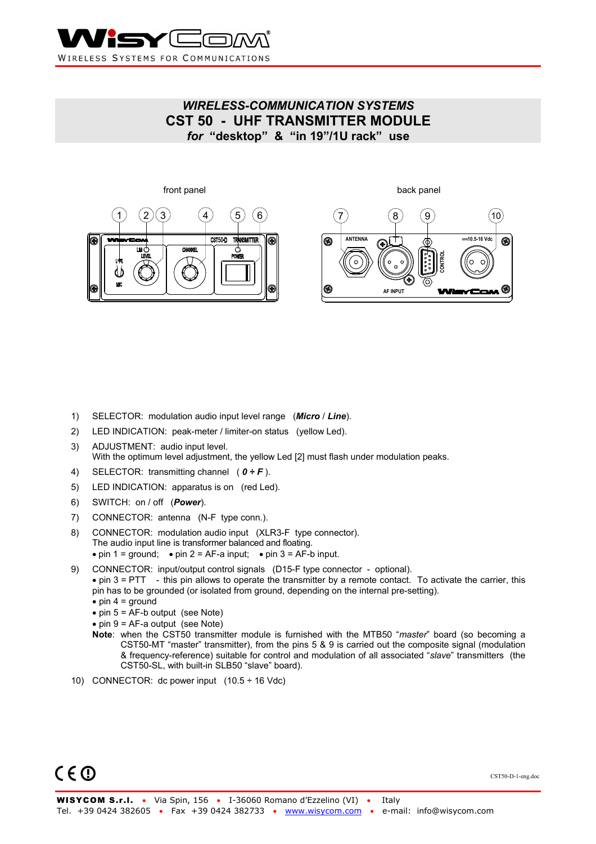

## *WIRELESS-COMMUNICATION SYSTEMS*  **CST 50 - UHF TRANSMITTER MODULE**  *for* **"desktop" & "in 19"/1U rack" use**



- 1) SELECTOR: modulation audio input level range (*Micro* / *Line*).
- 2) LED INDICATION: peak-meter / limiter-on status (yellow Led).
- 3) ADJUSTMENT: audio input level. With the optimum level adjustment, the yellow Led [2] must flash under modulation peaks.
- 4) SELECTOR: transmitting channel ( *0 ÷ F* ).
- 5) LED INDICATION: apparatus is on (red Led).
- 6) SWITCH: on / off (*Power*).
- 7) CONNECTOR: antenna (N-F type conn.).
- 8) CONNECTOR: modulation audio input (XLR3-F type connector). The audio input line is transformer balanced and floating. • pin 1 = ground; • pin 2 = AF-a input; • pin 3 = AF-b input.
- 9) CONNECTOR: input/output control signals (D15-F type connector optional). • pin 3 = PTT - this pin allows to operate the transmitter by a remote contact. To activate the carrier, this pin has to be grounded (or isolated from ground, depending on the internal pre-setting).  $\bullet$  pin 4 = ground
	- $\bullet$  pin 5 = AF-b output (see Note)
	- $\bullet$  pin 9 = AF-a output (see Note)
	- **Note**: when the CST50 transmitter module is furnished with the MTB50 "*master*" board (so becoming a CST50-MT "master" transmitter), from the pins 5 & 9 is carried out the composite signal (modulation & frequency-reference) suitable for control and modulation of all associated "*slave*" transmitters (the CST50-SL, with built-in SLB50 "slave" board).
- 10) CONNECTOR: dc power input  $(10.5 \div 16 \text{ Vdc})$



CST50-D-1-eng.doc